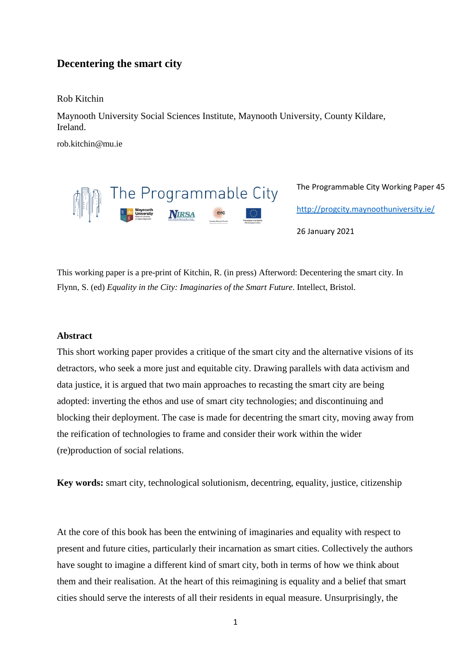## **Decentering the smart city**

Rob Kitchin

Maynooth University Social Sciences Institute, Maynooth University, County Kildare, Ireland.

rob.kitchin@mu.ie



The Programmable City Working Paper 45 <http://progcity.maynoothuniversity.ie/>

26 January 2021

This working paper is a pre-print of Kitchin, R. (in press) Afterword: Decentering the smart city. In Flynn, S. (ed) *Equality in the City: Imaginaries of the Smart Future*. Intellect, Bristol.

## **Abstract**

This short working paper provides a critique of the smart city and the alternative visions of its detractors, who seek a more just and equitable city. Drawing parallels with data activism and data justice, it is argued that two main approaches to recasting the smart city are being adopted: inverting the ethos and use of smart city technologies; and discontinuing and blocking their deployment. The case is made for decentring the smart city, moving away from the reification of technologies to frame and consider their work within the wider (re)production of social relations.

**Key words:** smart city, technological solutionism, decentring, equality, justice, citizenship

At the core of this book has been the entwining of imaginaries and equality with respect to present and future cities, particularly their incarnation as smart cities. Collectively the authors have sought to imagine a different kind of smart city, both in terms of how we think about them and their realisation. At the heart of this reimagining is equality and a belief that smart cities should serve the interests of all their residents in equal measure. Unsurprisingly, the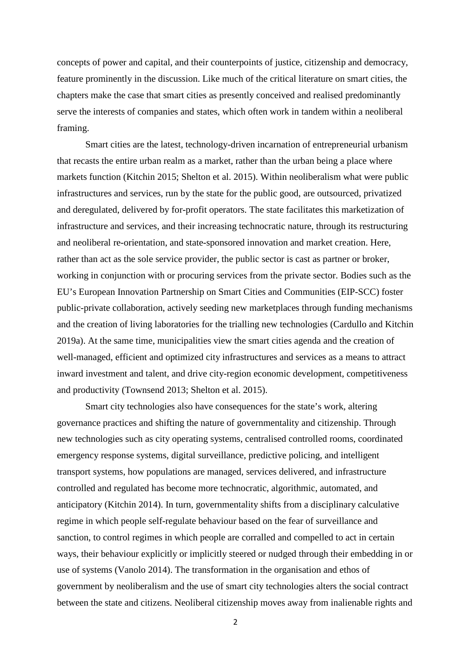concepts of power and capital, and their counterpoints of justice, citizenship and democracy, feature prominently in the discussion. Like much of the critical literature on smart cities, the chapters make the case that smart cities as presently conceived and realised predominantly serve the interests of companies and states, which often work in tandem within a neoliberal framing.

Smart cities are the latest, technology-driven incarnation of entrepreneurial urbanism that recasts the entire urban realm as a market, rather than the urban being a place where markets function (Kitchin 2015; Shelton et al. 2015). Within neoliberalism what were public infrastructures and services, run by the state for the public good, are outsourced, privatized and deregulated, delivered by for-profit operators. The state facilitates this marketization of infrastructure and services, and their increasing technocratic nature, through its restructuring and neoliberal re-orientation, and state-sponsored innovation and market creation. Here, rather than act as the sole service provider, the public sector is cast as partner or broker, working in conjunction with or procuring services from the private sector. Bodies such as the EU's European Innovation Partnership on Smart Cities and Communities (EIP-SCC) foster public-private collaboration, actively seeding new marketplaces through funding mechanisms and the creation of living laboratories for the trialling new technologies (Cardullo and Kitchin 2019a). At the same time, municipalities view the smart cities agenda and the creation of well-managed, efficient and optimized city infrastructures and services as a means to attract inward investment and talent, and drive city-region economic development, competitiveness and productivity (Townsend 2013; Shelton et al. 2015).

Smart city technologies also have consequences for the state's work, altering governance practices and shifting the nature of governmentality and citizenship. Through new technologies such as city operating systems, centralised controlled rooms, coordinated emergency response systems, digital surveillance, predictive policing, and intelligent transport systems, how populations are managed, services delivered, and infrastructure controlled and regulated has become more technocratic, algorithmic, automated, and anticipatory (Kitchin 2014). In turn, governmentality shifts from a disciplinary calculative regime in which people self-regulate behaviour based on the fear of surveillance and sanction, to control regimes in which people are corralled and compelled to act in certain ways, their behaviour explicitly or implicitly steered or nudged through their embedding in or use of systems (Vanolo 2014). The transformation in the organisation and ethos of government by neoliberalism and the use of smart city technologies alters the social contract between the state and citizens. Neoliberal citizenship moves away from inalienable rights and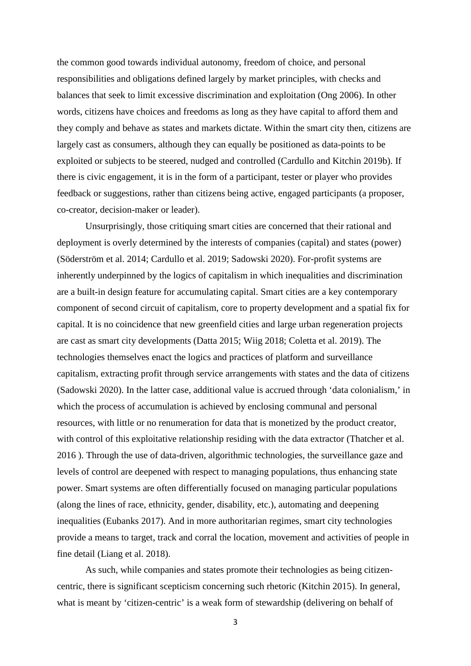the common good towards individual autonomy, freedom of choice, and personal responsibilities and obligations defined largely by market principles, with checks and balances that seek to limit excessive discrimination and exploitation (Ong 2006). In other words, citizens have choices and freedoms as long as they have capital to afford them and they comply and behave as states and markets dictate. Within the smart city then, citizens are largely cast as consumers, although they can equally be positioned as data-points to be exploited or subjects to be steered, nudged and controlled (Cardullo and Kitchin 2019b). If there is civic engagement, it is in the form of a participant, tester or player who provides feedback or suggestions, rather than citizens being active, engaged participants (a proposer, co-creator, decision-maker or leader).

Unsurprisingly, those critiquing smart cities are concerned that their rational and deployment is overly determined by the interests of companies (capital) and states (power) (Söderström et al. 2014; Cardullo et al. 2019; Sadowski 2020). For-profit systems are inherently underpinned by the logics of capitalism in which inequalities and discrimination are a built-in design feature for accumulating capital. Smart cities are a key contemporary component of second circuit of capitalism, core to property development and a spatial fix for capital. It is no coincidence that new greenfield cities and large urban regeneration projects are cast as smart city developments (Datta 2015; Wiig 2018; Coletta et al. 2019). The technologies themselves enact the logics and practices of platform and surveillance capitalism, extracting profit through service arrangements with states and the data of citizens (Sadowski 2020). In the latter case, additional value is accrued through 'data colonialism,' in which the process of accumulation is achieved by enclosing communal and personal resources, with little or no renumeration for data that is monetized by the product creator, with control of this exploitative relationship residing with the data extractor (Thatcher et al. 2016 ). Through the use of data-driven, algorithmic technologies, the surveillance gaze and levels of control are deepened with respect to managing populations, thus enhancing state power. Smart systems are often differentially focused on managing particular populations (along the lines of race, ethnicity, gender, disability, etc.), automating and deepening inequalities (Eubanks 2017). And in more authoritarian regimes, smart city technologies provide a means to target, track and corral the location, movement and activities of people in fine detail (Liang et al. 2018).

As such, while companies and states promote their technologies as being citizencentric, there is significant scepticism concerning such rhetoric (Kitchin 2015). In general, what is meant by 'citizen-centric' is a weak form of stewardship (delivering on behalf of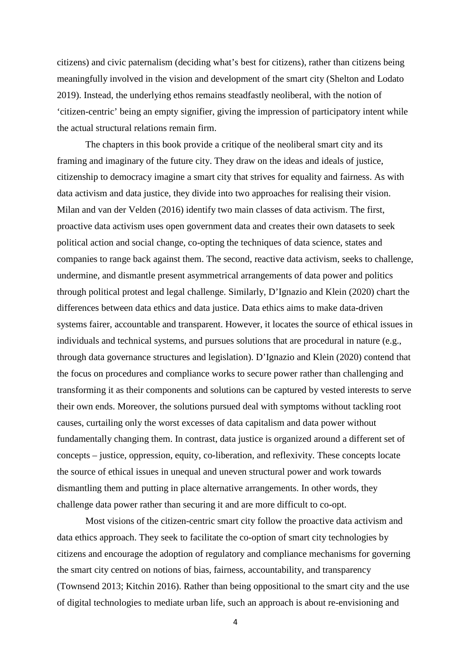citizens) and civic paternalism (deciding what's best for citizens), rather than citizens being meaningfully involved in the vision and development of the smart city (Shelton and Lodato 2019). Instead, the underlying ethos remains steadfastly neoliberal, with the notion of 'citizen-centric' being an empty signifier, giving the impression of participatory intent while the actual structural relations remain firm.

The chapters in this book provide a critique of the neoliberal smart city and its framing and imaginary of the future city. They draw on the ideas and ideals of justice, citizenship to democracy imagine a smart city that strives for equality and fairness. As with data activism and data justice, they divide into two approaches for realising their vision. Milan and van der Velden (2016) identify two main classes of data activism. The first, proactive data activism uses open government data and creates their own datasets to seek political action and social change, co-opting the techniques of data science, states and companies to range back against them. The second, reactive data activism, seeks to challenge, undermine, and dismantle present asymmetrical arrangements of data power and politics through political protest and legal challenge. Similarly, D'Ignazio and Klein (2020) chart the differences between data ethics and data justice. Data ethics aims to make data-driven systems fairer, accountable and transparent. However, it locates the source of ethical issues in individuals and technical systems, and pursues solutions that are procedural in nature (e.g., through data governance structures and legislation). D'Ignazio and Klein (2020) contend that the focus on procedures and compliance works to secure power rather than challenging and transforming it as their components and solutions can be captured by vested interests to serve their own ends. Moreover, the solutions pursued deal with symptoms without tackling root causes, curtailing only the worst excesses of data capitalism and data power without fundamentally changing them. In contrast, data justice is organized around a different set of concepts – justice, oppression, equity, co-liberation, and reflexivity. These concepts locate the source of ethical issues in unequal and uneven structural power and work towards dismantling them and putting in place alternative arrangements. In other words, they challenge data power rather than securing it and are more difficult to co-opt.

Most visions of the citizen-centric smart city follow the proactive data activism and data ethics approach. They seek to facilitate the co-option of smart city technologies by citizens and encourage the adoption of regulatory and compliance mechanisms for governing the smart city centred on notions of bias, fairness, accountability, and transparency (Townsend 2013; Kitchin 2016). Rather than being oppositional to the smart city and the use of digital technologies to mediate urban life, such an approach is about re-envisioning and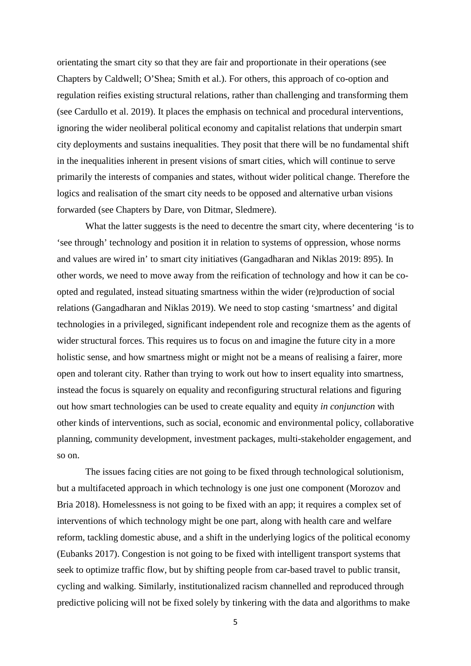orientating the smart city so that they are fair and proportionate in their operations (see Chapters by Caldwell; O'Shea; Smith et al.). For others, this approach of co-option and regulation reifies existing structural relations, rather than challenging and transforming them (see Cardullo et al. 2019). It places the emphasis on technical and procedural interventions, ignoring the wider neoliberal political economy and capitalist relations that underpin smart city deployments and sustains inequalities. They posit that there will be no fundamental shift in the inequalities inherent in present visions of smart cities, which will continue to serve primarily the interests of companies and states, without wider political change. Therefore the logics and realisation of the smart city needs to be opposed and alternative urban visions forwarded (see Chapters by Dare, von Ditmar, Sledmere).

What the latter suggests is the need to decentre the smart city, where decentering 'is to 'see through' technology and position it in relation to systems of oppression, whose norms and values are wired in' to smart city initiatives (Gangadharan and Niklas 2019: 895). In other words, we need to move away from the reification of technology and how it can be coopted and regulated, instead situating smartness within the wider (re)production of social relations (Gangadharan and Niklas 2019). We need to stop casting 'smartness' and digital technologies in a privileged, significant independent role and recognize them as the agents of wider structural forces. This requires us to focus on and imagine the future city in a more holistic sense, and how smartness might or might not be a means of realising a fairer, more open and tolerant city. Rather than trying to work out how to insert equality into smartness, instead the focus is squarely on equality and reconfiguring structural relations and figuring out how smart technologies can be used to create equality and equity *in conjunction* with other kinds of interventions, such as social, economic and environmental policy, collaborative planning, community development, investment packages, multi-stakeholder engagement, and so on.

The issues facing cities are not going to be fixed through technological solutionism, but a multifaceted approach in which technology is one just one component (Morozov and Bria 2018). Homelessness is not going to be fixed with an app; it requires a complex set of interventions of which technology might be one part, along with health care and welfare reform, tackling domestic abuse, and a shift in the underlying logics of the political economy (Eubanks 2017). Congestion is not going to be fixed with intelligent transport systems that seek to optimize traffic flow, but by shifting people from car-based travel to public transit, cycling and walking. Similarly, institutionalized racism channelled and reproduced through predictive policing will not be fixed solely by tinkering with the data and algorithms to make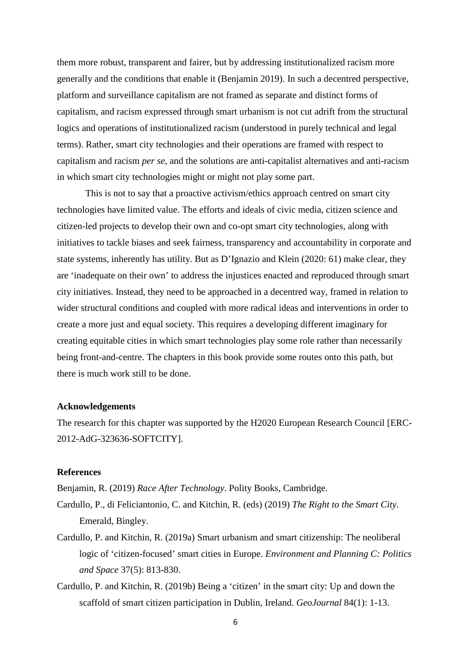them more robust, transparent and fairer, but by addressing institutionalized racism more generally and the conditions that enable it (Benjamin 2019). In such a decentred perspective, platform and surveillance capitalism are not framed as separate and distinct forms of capitalism, and racism expressed through smart urbanism is not cut adrift from the structural logics and operations of institutionalized racism (understood in purely technical and legal terms). Rather, smart city technologies and their operations are framed with respect to capitalism and racism *per se*, and the solutions are anti-capitalist alternatives and anti-racism in which smart city technologies might or might not play some part.

This is not to say that a proactive activism/ethics approach centred on smart city technologies have limited value. The efforts and ideals of civic media, citizen science and citizen-led projects to develop their own and co-opt smart city technologies, along with initiatives to tackle biases and seek fairness, transparency and accountability in corporate and state systems, inherently has utility. But as D'Ignazio and Klein (2020: 61) make clear, they are 'inadequate on their own' to address the injustices enacted and reproduced through smart city initiatives. Instead, they need to be approached in a decentred way, framed in relation to wider structural conditions and coupled with more radical ideas and interventions in order to create a more just and equal society. This requires a developing different imaginary for creating equitable cities in which smart technologies play some role rather than necessarily being front-and-centre. The chapters in this book provide some routes onto this path, but there is much work still to be done.

## **Acknowledgements**

The research for this chapter was supported by the H2020 European Research Council [ERC-2012-AdG-323636-SOFTCITY].

## **References**

Benjamin, R. (2019) *Race After Technology*. Polity Books, Cambridge.

- Cardullo, P., di Feliciantonio, C. and Kitchin, R. (eds) (2019) *The Right to the Smart City*. Emerald, Bingley.
- Cardullo, P. and Kitchin, R. (2019a) Smart urbanism and smart citizenship: The neoliberal logic of 'citizen-focused' smart cities in Europe. *Environment and Planning C: Politics and Space* 37(5): 813-830.
- Cardullo, P. and Kitchin, R. (2019b) Being a 'citizen' in the smart city: Up and down the scaffold of smart citizen participation in Dublin, Ireland. *GeoJournal* 84(1): 1-13.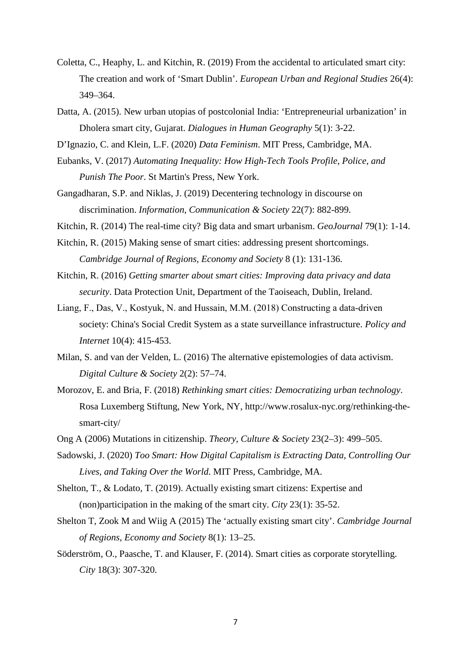- Coletta, C., Heaphy, L. and Kitchin, R. (2019) From the accidental to articulated smart city: The creation and work of 'Smart Dublin'. *European Urban and Regional Studies* 26(4): 349–364.
- Datta, A. (2015). New urban utopias of postcolonial India: 'Entrepreneurial urbanization' in Dholera smart city, Gujarat. *Dialogues in Human Geography* 5(1): 3-22.
- D'Ignazio, C. and Klein, L.F. (2020) *Data Feminism*. MIT Press, Cambridge, MA.
- Eubanks, V. (2017) *Automating Inequality: How High-Tech Tools Profile, Police, and Punish The Poor*. St Martin's Press, New York.
- Gangadharan, S.P. and Niklas, J. (2019) Decentering technology in discourse on discrimination. *Information, Communication & Society* 22(7): 882-899.
- Kitchin, R. (2014) The real-time city? Big data and smart urbanism. *GeoJournal* 79(1): 1-14.
- Kitchin, R. (2015) Making sense of smart cities: addressing present shortcomings. *Cambridge Journal of Regions, Economy and Society* 8 (1): 131-136.
- Kitchin, R. (2016) *Getting smarter about smart cities: Improving data privacy and data security*. Data Protection Unit, Department of the Taoiseach, Dublin, Ireland.
- Liang, F., Das, V., Kostyuk, N. and Hussain, M.M. (2018) Constructing a data‐driven society: China's Social Credit System as a state surveillance infrastructure. *Policy and Internet* 10(4): 415-453.
- Milan, S. and van der Velden, L. (2016) The alternative epistemologies of data activism. *Digital Culture & Society* 2(2): 57–74.
- Morozov, E. and Bria, F. (2018) *Rethinking smart cities: Democratizing urban technology*. Rosa Luxemberg Stiftung, New York, NY, http://www.rosalux-nyc.org/rethinking-thesmart-city/
- Ong A (2006) Mutations in citizenship. *Theory, Culture & Society* 23(2–3): 499–505.
- Sadowski, J. (2020) *Too Smart: How Digital Capitalism is Extracting Data, Controlling Our Lives, and Taking Over the World*. MIT Press, Cambridge, MA.
- Shelton, T., & Lodato, T. (2019). Actually existing smart citizens: Expertise and (non)participation in the making of the smart city. *City* 23(1): 35-52.
- Shelton T, Zook M and Wiig A (2015) The 'actually existing smart city'. *Cambridge Journal of Regions, Economy and Society* 8(1): 13–25.
- Söderström, O., Paasche, T. and Klauser, F. (2014). Smart cities as corporate storytelling. *City* 18(3): 307-320.